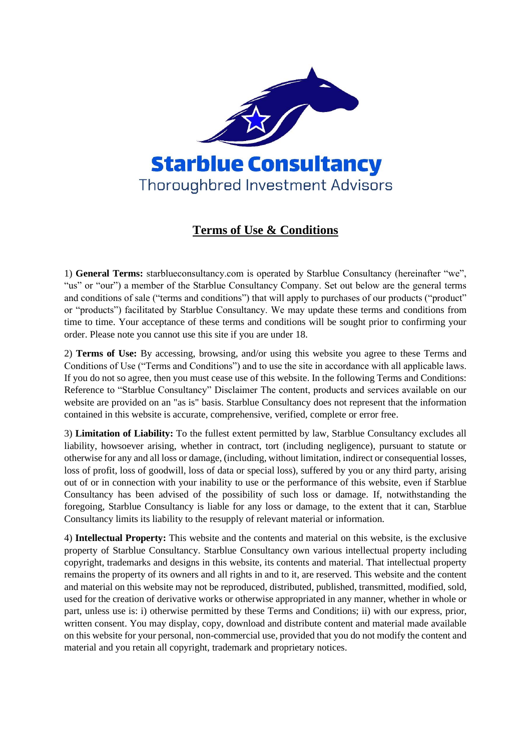

# **Terms of Use & Conditions**

1) **General Terms:** starblueconsultancy.com is operated by Starblue Consultancy (hereinafter "we", "us" or "our") a member of the Starblue Consultancy Company. Set out below are the general terms and conditions of sale ("terms and conditions") that will apply to purchases of our products ("product" or "products") facilitated by Starblue Consultancy. We may update these terms and conditions from time to time. Your acceptance of these terms and conditions will be sought prior to confirming your order. Please note you cannot use this site if you are under 18.

2) **Terms of Use:** By accessing, browsing, and/or using this website you agree to these Terms and Conditions of Use ("Terms and Conditions") and to use the site in accordance with all applicable laws. If you do not so agree, then you must cease use of this website. In the following Terms and Conditions: Reference to "Starblue Consultancy" Disclaimer The content, products and services available on our website are provided on an "as is" basis. Starblue Consultancy does not represent that the information contained in this website is accurate, comprehensive, verified, complete or error free.

3) **Limitation of Liability:** To the fullest extent permitted by law, Starblue Consultancy excludes all liability, howsoever arising, whether in contract, tort (including negligence), pursuant to statute or otherwise for any and all loss or damage, (including, without limitation, indirect or consequential losses, loss of profit, loss of goodwill, loss of data or special loss), suffered by you or any third party, arising out of or in connection with your inability to use or the performance of this website, even if Starblue Consultancy has been advised of the possibility of such loss or damage. If, notwithstanding the foregoing, Starblue Consultancy is liable for any loss or damage, to the extent that it can, Starblue Consultancy limits its liability to the resupply of relevant material or information.

4) **Intellectual Property:** This website and the contents and material on this website, is the exclusive property of Starblue Consultancy. Starblue Consultancy own various intellectual property including copyright, trademarks and designs in this website, its contents and material. That intellectual property remains the property of its owners and all rights in and to it, are reserved. This website and the content and material on this website may not be reproduced, distributed, published, transmitted, modified, sold, used for the creation of derivative works or otherwise appropriated in any manner, whether in whole or part, unless use is: i) otherwise permitted by these Terms and Conditions; ii) with our express, prior, written consent. You may display, copy, download and distribute content and material made available on this website for your personal, non-commercial use, provided that you do not modify the content and material and you retain all copyright, trademark and proprietary notices.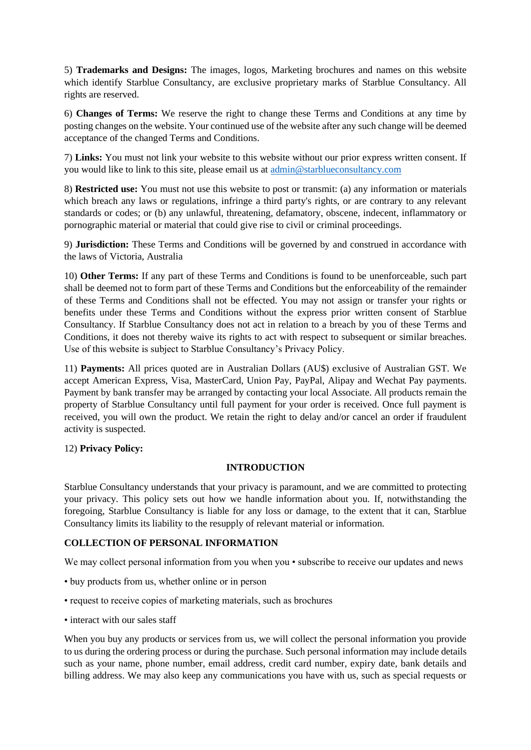5) **Trademarks and Designs:** The images, logos, Marketing brochures and names on this website which identify Starblue Consultancy, are exclusive proprietary marks of Starblue Consultancy. All rights are reserved.

6) **Changes of Terms:** We reserve the right to change these Terms and Conditions at any time by posting changes on the website. Your continued use of the website after any such change will be deemed acceptance of the changed Terms and Conditions.

7) **Links:** You must not link your website to this website without our prior express written consent. If you would like to link to this site, please email us at [admin@starblueconsultancy.com](mailto:admin@starblueconsultancy.com)

8) **Restricted use:** You must not use this website to post or transmit: (a) any information or materials which breach any laws or regulations, infringe a third party's rights, or are contrary to any relevant standards or codes; or (b) any unlawful, threatening, defamatory, obscene, indecent, inflammatory or pornographic material or material that could give rise to civil or criminal proceedings.

9) **Jurisdiction:** These Terms and Conditions will be governed by and construed in accordance with the laws of Victoria, Australia

10) **Other Terms:** If any part of these Terms and Conditions is found to be unenforceable, such part shall be deemed not to form part of these Terms and Conditions but the enforceability of the remainder of these Terms and Conditions shall not be effected. You may not assign or transfer your rights or benefits under these Terms and Conditions without the express prior written consent of Starblue Consultancy. If Starblue Consultancy does not act in relation to a breach by you of these Terms and Conditions, it does not thereby waive its rights to act with respect to subsequent or similar breaches. Use of this website is subject to Starblue Consultancy's Privacy Policy.

11) **Payments:** All prices quoted are in Australian Dollars (AU\$) exclusive of Australian GST. We accept American Express, Visa, MasterCard, Union Pay, PayPal, Alipay and Wechat Pay payments. Payment by bank transfer may be arranged by contacting your local Associate. All products remain the property of Starblue Consultancy until full payment for your order is received. Once full payment is received, you will own the product. We retain the right to delay and/or cancel an order if fraudulent activity is suspected.

# 12) **Privacy Policy:**

# **INTRODUCTION**

Starblue Consultancy understands that your privacy is paramount, and we are committed to protecting your privacy. This policy sets out how we handle information about you. If, notwithstanding the foregoing, Starblue Consultancy is liable for any loss or damage, to the extent that it can, Starblue Consultancy limits its liability to the resupply of relevant material or information.

# **COLLECTION OF PERSONAL INFORMATION**

We may collect personal information from you when you • subscribe to receive our updates and news

- buy products from us, whether online or in person
- request to receive copies of marketing materials, such as brochures
- interact with our sales staff

When you buy any products or services from us, we will collect the personal information you provide to us during the ordering process or during the purchase. Such personal information may include details such as your name, phone number, email address, credit card number, expiry date, bank details and billing address. We may also keep any communications you have with us, such as special requests or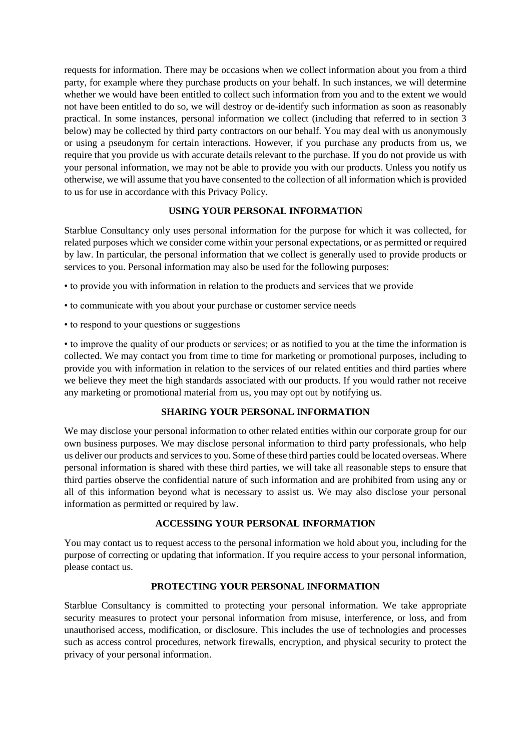requests for information. There may be occasions when we collect information about you from a third party, for example where they purchase products on your behalf. In such instances, we will determine whether we would have been entitled to collect such information from you and to the extent we would not have been entitled to do so, we will destroy or de-identify such information as soon as reasonably practical. In some instances, personal information we collect (including that referred to in section 3 below) may be collected by third party contractors on our behalf. You may deal with us anonymously or using a pseudonym for certain interactions. However, if you purchase any products from us, we require that you provide us with accurate details relevant to the purchase. If you do not provide us with your personal information, we may not be able to provide you with our products. Unless you notify us otherwise, we will assume that you have consented to the collection of all information which is provided to us for use in accordance with this Privacy Policy.

# **USING YOUR PERSONAL INFORMATION**

Starblue Consultancy only uses personal information for the purpose for which it was collected, for related purposes which we consider come within your personal expectations, or as permitted or required by law. In particular, the personal information that we collect is generally used to provide products or services to you. Personal information may also be used for the following purposes:

- to provide you with information in relation to the products and services that we provide
- to communicate with you about your purchase or customer service needs
- to respond to your questions or suggestions

• to improve the quality of our products or services; or as notified to you at the time the information is collected. We may contact you from time to time for marketing or promotional purposes, including to provide you with information in relation to the services of our related entities and third parties where we believe they meet the high standards associated with our products. If you would rather not receive any marketing or promotional material from us, you may opt out by notifying us.

# **SHARING YOUR PERSONAL INFORMATION**

We may disclose your personal information to other related entities within our corporate group for our own business purposes. We may disclose personal information to third party professionals, who help us deliver our products and services to you. Some of these third parties could be located overseas. Where personal information is shared with these third parties, we will take all reasonable steps to ensure that third parties observe the confidential nature of such information and are prohibited from using any or all of this information beyond what is necessary to assist us. We may also disclose your personal information as permitted or required by law.

# **ACCESSING YOUR PERSONAL INFORMATION**

You may contact us to request access to the personal information we hold about you, including for the purpose of correcting or updating that information. If you require access to your personal information, please contact us.

# **PROTECTING YOUR PERSONAL INFORMATION**

Starblue Consultancy is committed to protecting your personal information. We take appropriate security measures to protect your personal information from misuse, interference, or loss, and from unauthorised access, modification, or disclosure. This includes the use of technologies and processes such as access control procedures, network firewalls, encryption, and physical security to protect the privacy of your personal information.